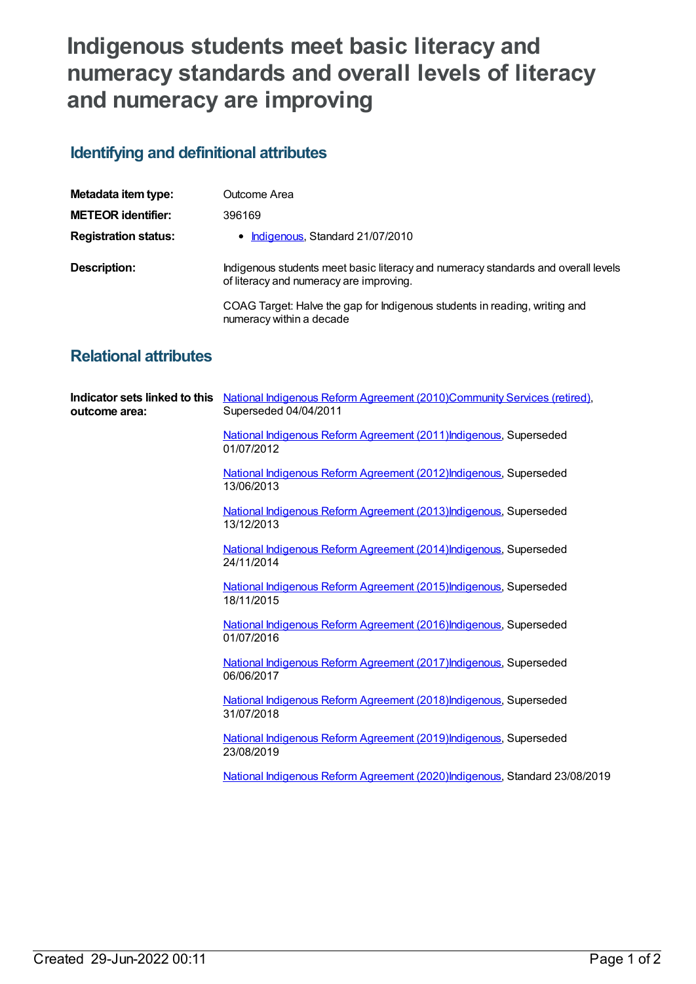## **Indigenous students meet basic literacy and numeracy standards and overall levels of literacy and numeracy are improving**

## **Identifying and definitional attributes**

| Metadata item type:         | Outcome Area                                                                                                                 |
|-----------------------------|------------------------------------------------------------------------------------------------------------------------------|
| <b>METEOR identifier:</b>   | 396169                                                                                                                       |
| <b>Registration status:</b> | • Indigenous, Standard 21/07/2010                                                                                            |
| Description:                | Indigenous students meet basic literacy and numeracy standards and overall levels<br>of literacy and numeracy are improving. |
|                             | COAG Target: Halve the gap for Indigenous students in reading, writing and<br>numeracy within a decade                       |

## **Relational attributes**

| outcome area: | Indicator sets linked to this National Indigenous Reform Agreement (2010)Community Services (retired),<br>Superseded 04/04/2011 |
|---------------|---------------------------------------------------------------------------------------------------------------------------------|
|               | National Indigenous Reform Agreement (2011) Indigenous, Superseded<br>01/07/2012                                                |
|               | National Indigenous Reform Agreement (2012) Indigenous, Superseded<br>13/06/2013                                                |
|               | National Indigenous Reform Agreement (2013) Indigenous, Superseded<br>13/12/2013                                                |
|               | National Indigenous Reform Agreement (2014) Indigenous, Superseded<br>24/11/2014                                                |
|               | National Indigenous Reform Agreement (2015) Indigenous, Superseded<br>18/11/2015                                                |
|               | National Indigenous Reform Agreement (2016) Indigenous, Superseded<br>01/07/2016                                                |
|               | National Indigenous Reform Agreement (2017) Indigenous, Superseded<br>06/06/2017                                                |
|               | National Indigenous Reform Agreement (2018) Indigenous, Superseded<br>31/07/2018                                                |
|               | National Indigenous Reform Agreement (2019) Indigenous, Superseded<br>23/08/2019                                                |
|               | National Indigenous Reform Agreement (2020)Indigenous, Standard 23/08/2019                                                      |
|               |                                                                                                                                 |